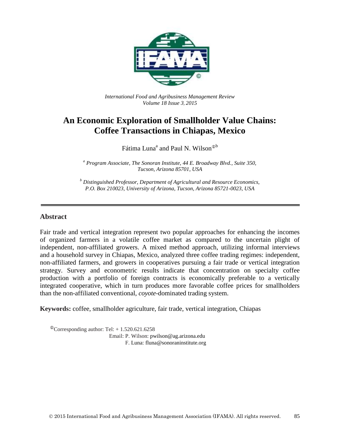

*International Food and Agribusiness Management Review Volume 18 Issue 3*, *2015*

# **An Economic Exploration of Smallholder Value Chains: Coffee Transactions in Chiapas, Mexico**

Fátima Luna<sup>a</sup> and Paul N. Wilson<sup>®b</sup>

*<sup>a</sup> Program Associate, The Sonoran Institute, 44 E. Broadway Blvd., Suite 350, Tucson, Arizona 85701, USA*

*<sup>b</sup> Distinguished Professor, Department of Agricultural and Resource Economics, P.O. Box 210023, University of Arizona, Tucson, Arizona 85721-0023, USA*

#### **Abstract**

Fair trade and vertical integration represent two popular approaches for enhancing the incomes of organized farmers in a volatile coffee market as compared to the uncertain plight of independent, non-affiliated growers. A mixed method approach, utilizing informal interviews and a household survey in Chiapas, Mexico, analyzed three coffee trading regimes: independent, non-affiliated farmers, and growers in cooperatives pursuing a fair trade or vertical integration strategy. Survey and econometric results indicate that concentration on specialty coffee production with a portfolio of foreign contracts is economically preferable to a vertically integrated cooperative, which in turn produces more favorable coffee prices for smallholders than the non-affiliated conventional, *coyote*-dominated trading system.

**Keywords:** coffee, smallholder agriculture, fair trade, vertical integration, Chiapas

 $^{\circ}$ Corresponding author: Tel: + 1.520.621.6258 Email: P. Wilson: pwilson@ag.arizona.edu F. Luna: fluna@sonoraninstitute.org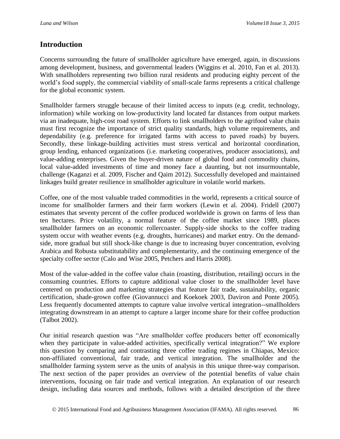### **Introduction**

Concerns surrounding the future of smallholder agriculture have emerged, again, in discussions among development, business, and governmental leaders (Wiggins et al. 2010, Fan et al. 2013). With smallholders representing two billion rural residents and producing eighty percent of the world's food supply, the commercial viability of small-scale farms represents a critical challenge for the global economic system.

Smallholder farmers struggle because of their limited access to inputs (e.g. credit, technology, information) while working on low-productivity land located far distances from output markets via an inadequate, high-cost road system. Efforts to link smallholders to the agrifood value chain must first recognize the importance of strict quality standards, high volume requirements, and dependability (e.g. preference for irrigated farms with access to paved roads) by buyers. Secondly, these linkage-building activities must stress vertical and horizontal coordination, group lending, enhanced organizations (i.e. marketing cooperatives, producer associations), and value-adding enterprises. Given the buyer-driven nature of global food and commodity chains, local value-added investments of time and money face a daunting, but not insurmountable, challenge (Kaganzi et al. 2009, Fischer and Qaim 2012). Successfully developed and maintained linkages build greater resilience in smallholder agriculture in volatile world markets.

Coffee, one of the most valuable traded commodities in the world, represents a critical source of income for smallholder farmers and their farm workers (Lewin et al. 2004). Fridell (2007) estimates that seventy percent of the coffee produced worldwide is grown on farms of less than ten hectares. Price volatility, a normal feature of the coffee market since 1989, places smallholder farmers on an economic rollercoaster. Supply-side shocks to the coffee trading system occur with weather events (e.g. droughts, hurricanes) and market entry. On the demandside, more gradual but still shock-like change is due to increasing buyer concentration, evolving Arabica and Robusta substitutability and complementarity, and the continuing emergence of the specialty coffee sector (Calo and Wise 2005, Petchers and Harris 2008).

Most of the value-added in the coffee value chain (roasting, distribution, retailing) occurs in the consuming countries. Efforts to capture additional value closer to the smallholder level have centered on production and marketing strategies that feature fair trade, sustainability, organic certification, shade-grown coffee (Giovannucci and Koekoek 2003, Daviron and Ponte 2005). Less frequently documented attempts to capture value involve vertical integration--smallholders integrating downstream in an attempt to capture a larger income share for their coffee production (Talbot 2002).

Our initial research question was "Are smallholder coffee producers better off economically when they participate in value-added activities, specifically vertical integration?" We explore this question by comparing and contrasting three coffee trading regimes in Chiapas, Mexico: non-affiliated conventional, fair trade, and vertical integration. The smallholder and the smallholder farming system serve as the units of analysis in this unique three-way comparison. The next section of the paper provides an overview of the potential benefits of value chain interventions, focusing on fair trade and vertical integration. An explanation of our research design, including data sources and methods, follows with a detailed description of the three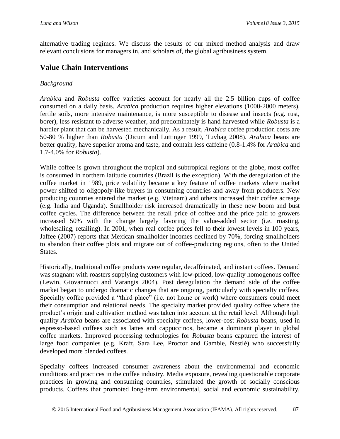alternative trading regimes. We discuss the results of our mixed method analysis and draw relevant conclusions for managers in, and scholars of, the global agribusiness system.

## **Value Chain Interventions**

#### *Background*

*Arabica* and *Robusta* coffee varieties account for nearly all the 2.5 billion cups of coffee consumed on a daily basis. *Arabica* production requires higher elevations (1000-2000 meters), fertile soils, more intensive maintenance, is more susceptible to disease and insects (e.g. rust, borer), less resistant to adverse weather, and predominately is hand harvested while *Robusta* is a hardier plant that can be harvested mechanically. As a result, *Arabica* coffee production costs are 50-80 % higher than *Robusta* (Dicum and Luttinger 1999, Tuvhag 2008). *Arabica* beans are better quality, have superior aroma and taste, and contain less caffeine (0.8-1.4% for *Arabica* and 1.7-4.0% for *Robusta*).

While coffee is grown throughout the tropical and subtropical regions of the globe, most coffee is consumed in northern latitude countries (Brazil is the exception). With the deregulation of the coffee market in 1989, price volatility became a key feature of coffee markets where market power shifted to oligopoly-like buyers in consuming countries and away from producers. New producing countries entered the market (e.g. Vietnam) and others increased their coffee acreage (e.g. India and Uganda). Smallholder risk increased dramatically in these new boom and bust coffee cycles. The difference between the retail price of coffee and the price paid to growers increased 50% with the change largely favoring the value-added sector (i.e. roasting, wholesaling, retailing). In 2001, when real coffee prices fell to their lowest levels in 100 years, Jaffee (2007) reports that Mexican smallholder incomes declined by 70%, forcing smallholders to abandon their coffee plots and migrate out of coffee-producing regions, often to the United States.

Historically, traditional coffee products were regular, decaffeinated, and instant coffees. Demand was stagnant with roasters supplying customers with low-priced, low-quality homogenous coffee (Lewin, Giovannucci and Varangis 2004). Post deregulation the demand side of the coffee market began to undergo dramatic changes that are ongoing, particularly with specialty coffees. Specialty coffee provided a "third place" (i.e. not home or work) where consumers could meet their consumption and relational needs. The specialty market provided quality coffee where the product's origin and cultivation method was taken into account at the retail level. Although high quality *Arabica* beans are associated with specialty coffees, lower-cost *Robusta* beans, used in espresso-based coffees such as lattes and cappuccinos, became a dominant player in global coffee markets. Improved processing technologies for *Robusta* beans captured the interest of large food companies (e.g. Kraft, Sara Lee, Proctor and Gamble, Nestlé) who successfully developed more blended coffees.

Specialty coffees increased consumer awareness about the environmental and economic conditions and practices in the coffee industry. Media exposure, revealing questionable corporate practices in growing and consuming countries, stimulated the growth of socially conscious products. Coffees that promoted long-term environmental, social and economic sustainability,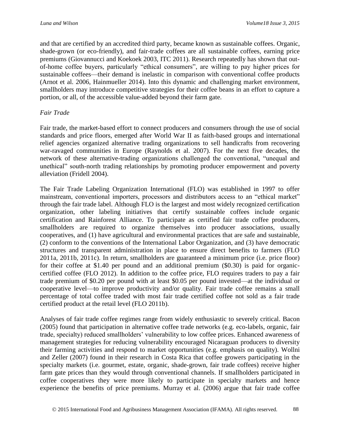and that are certified by an accredited third party, became known as sustainable coffees. Organic, shade-grown (or eco-friendly), and fair-trade coffees are all sustainable coffees, earning price premiums (Giovannucci and Koekoek 2003, ITC 2011). Research repeatedly has shown that outof-home coffee buyers, particularly "ethical consumers", are willing to pay higher prices for sustainable coffees—their demand is inelastic in comparison with conventional coffee products (Arnot et al. 2006, Hainmueller 2014). Into this dynamic and challenging market environment, smallholders may introduce competitive strategies for their coffee beans in an effort to capture a portion, or all, of the accessible value-added beyond their farm gate.

#### *Fair Trade*

Fair trade, the market-based effort to connect producers and consumers through the use of social standards and price floors, emerged after World War II as faith-based groups and international relief agencies organized alternative trading organizations to sell handicrafts from recovering war-ravaged communities in Europe (Raynolds et al. 2007). For the next five decades, the network of these alternative-trading organizations challenged the conventional, "unequal and unethical" south-north trading relationships by promoting producer empowerment and poverty alleviation (Fridell 2004).

The Fair Trade Labeling Organization International (FLO) was established in 1997 to offer mainstream, conventional importers, processors and distributors access to an "ethical market" through the fair trade label. Although FLO is the largest and most widely recognized certification organization, other labeling initiatives that certify sustainable coffees include organic certification and Rainforest Alliance. To participate as certified fair trade coffee producers, smallholders are required to organize themselves into producer associations, usually cooperatives, and (1) have agricultural and environmental practices that are safe and sustainable, (2) conform to the conventions of the International Labor Organization, and (3) have democratic structures and transparent administration in place to ensure direct benefits to farmers (FLO 2011a, 2011b, 2011c). In return, smallholders are guaranteed a minimum price (i.e. price floor) for their coffee at \$1.40 per pound and an additional premium (\$0.30) is paid for organiccertified coffee (FLO 2012). In addition to the coffee price, FLO requires traders to pay a fair trade premium of \$0.20 per pound with at least \$0.05 per pound invested—at the individual or cooperative level—to improve productivity and/or quality. Fair trade coffee remains a small percentage of total coffee traded with most fair trade certified coffee not sold as a fair trade certified product at the retail level (FLO 2011b).

Analyses of fair trade coffee regimes range from widely enthusiastic to severely critical. Bacon (2005) found that participation in alternative coffee trade networks (e.g. eco-labels, organic, fair trade, specialty) reduced smallholders' vulnerability to low coffee prices. Enhanced awareness of management strategies for reducing vulnerability encouraged Nicaraguan producers to diversity their farming activities and respond to market opportunities (e.g. emphasis on quality). Wollni and Zeller (2007) found in their research in Costa Rica that coffee growers participating in the specialty markets (i.e. gourmet, estate, organic, shade-grown, fair trade coffees) receive higher farm gate prices than they would through conventional channels. If smallholders participated in coffee cooperatives they were more likely to participate in specialty markets and hence experience the benefits of price premiums. Murray et al. (2006) argue that fair trade coffee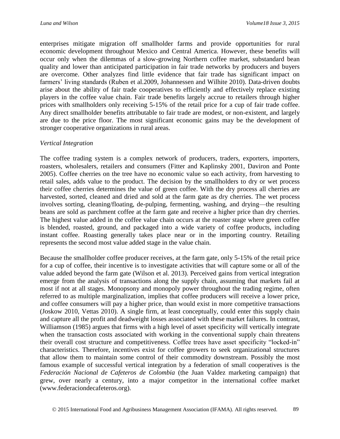enterprises mitigate migration off smallholder farms and provide opportunities for rural economic development throughout Mexico and Central America. However, these benefits will occur only when the dilemmas of a slow-growing Northern coffee market, substandard bean quality and lower than anticipated participation in fair trade networks by producers and buyers are overcome. Other analyzes find little evidence that fair trade has significant impact on farmers' living standards (Ruben et al.2009, Johannessen and Wilhite 2010). Data-driven doubts arise about the ability of fair trade cooperatives to efficiently and effectively replace existing players in the coffee value chain. Fair trade benefits largely accrue to retailers through higher prices with smallholders only receiving 5-15% of the retail price for a cup of fair trade coffee. Any direct smallholder benefits attributable to fair trade are modest, or non-existent, and largely are due to the price floor. The most significant economic gains may be the development of stronger cooperative organizations in rural areas.

#### *Vertical Integration*

The coffee trading system is a complex network of producers, traders, exporters, importers, roasters, wholesalers, retailers and consumers (Fitter and Kaplinsky 2001, Daviron and Ponte 2005). Coffee cherries on the tree have no economic value so each activity, from harvesting to retail sales, adds value to the product. The decision by the smallholders to dry or wet process their coffee cherries determines the value of green coffee. With the dry process all cherries are harvested, sorted, cleaned and dried and sold at the farm gate as dry cherries. The wet process involves sorting, cleaning/floating, de-pulping, fermenting, washing, and drying—the resulting beans are sold as parchment coffee at the farm gate and receive a higher price than dry cherries. The highest value added in the coffee value chain occurs at the roaster stage where green coffee is blended, roasted, ground, and packaged into a wide variety of coffee products, including instant coffee. Roasting generally takes place near or in the importing country. Retailing represents the second most value added stage in the value chain.

Because the smallholder coffee producer receives, at the farm gate, only 5-15% of the retail price for a cup of coffee, their incentive is to investigate activities that will capture some or all of the value added beyond the farm gate (Wilson et al. 2013). Perceived gains from vertical integration emerge from the analysis of transactions along the supply chain, assuming that markets fail at most if not at all stages. Monopsony and monopoly power throughout the trading regime, often referred to as multiple marginalization, implies that coffee producers will receive a lower price, and coffee consumers will pay a higher price, than would exist in more competitive transactions (Joskow 2010, Vettas 2010). A single firm, at least conceptually, could enter this supply chain and capture all the profit and deadweight losses associated with these market failures. In contrast, Williamson (1985) argues that firms with a high level of asset specificity will vertically integrate when the transaction costs associated with working in the conventional supply chain threatens their overall cost structure and competitiveness. Coffee trees have asset specificity "locked-in" characteristics. Therefore, incentives exist for coffee growers to seek organizational structures that allow them to maintain some control of their commodity downstream. Possibly the most famous example of successful vertical integration by a federation of small cooperatives is the *Federación Nacional de Cafeteros de Colombia* (the Juan Valdez marketing campaign) that grew, over nearly a century, into a major competitor in the international coffee market (www.federaciondecafeteros.org).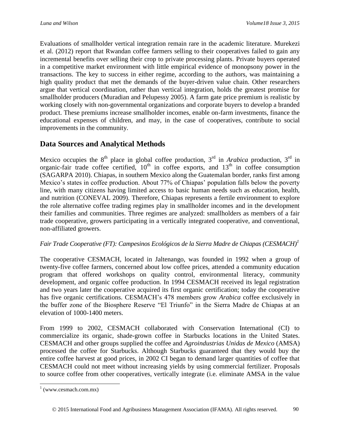Evaluations of smallholder vertical integration remain rare in the academic literature. Murekezi et al. (2012) report that Rwandan coffee farmers selling to their cooperatives failed to gain any incremental benefits over selling their crop to private processing plants. Private buyers operated in a competitive market environment with little empirical evidence of monopsony power in the transactions. The key to success in either regime, according to the authors, was maintaining a high quality product that met the demands of the buyer-driven value chain. Other researchers argue that vertical coordination, rather than vertical integration, holds the greatest promise for smallholder producers (Muradian and Pelupessy 2005). A farm gate price premium is realistic by working closely with non-governmental organizations and corporate buyers to develop a branded product. These premiums increase smallholder incomes, enable on-farm investments, finance the educational expenses of children, and may, in the case of cooperatives, contribute to social improvements in the community.

## **Data Sources and Analytical Methods**

Mexico occupies the 8<sup>th</sup> place in global coffee production, 3<sup>rd</sup> in *Arabica* production, 3<sup>rd</sup> in organic-fair trade coffee certified,  $10<sup>th</sup>$  in coffee exports, and  $13<sup>th</sup>$  in coffee consumption (SAGARPA 2010). Chiapas, in southern Mexico along the Guatemalan border, ranks first among Mexico's states in coffee production. About 77% of Chiapas' population falls below the poverty line, with many citizens having limited access to basic human needs such as education, health, and nutrition (CONEVAL 2009). Therefore, Chiapas represents a fertile environment to explore the role alternative coffee trading regimes play in smallholder incomes and in the development their families and communities. Three regimes are analyzed: smallholders as members of a fair trade cooperative, growers participating in a vertically integrated cooperative, and conventional, non-affiliated growers.

### *Fair Trade Cooperative (FT): Campesinos Ecológicos de la Sierra Madre de Chiapas (CESMACH)<sup>1</sup>*

The cooperative CESMACH, located in Jaltenango, was founded in 1992 when a group of twenty-five coffee farmers, concerned about low coffee prices, attended a community education program that offered workshops on quality control, environmental literacy, community development, and organic coffee production. In 1994 CESMACH received its legal registration and two years later the cooperative acquired its first organic certification; today the cooperative has five organic certifications. CESMACH's 478 members grow *Arabica* coffee exclusively in the buffer zone of the Biosphere Reserve "El Triunfo" in the Sierra Madre de Chiapas at an elevation of 1000-1400 meters.

From 1999 to 2002, CESMACH collaborated with Conservation International (CI) to commercialize its organic, shade-grown coffee in Starbucks locations in the United States. CESMACH and other groups supplied the coffee and *Agroindustrias Unidas de Mexico* (AMSA) processed the coffee for Starbucks. Although Starbucks guaranteed that they would buy the entire coffee harvest at good prices, in 2002 CI began to demand larger quantities of coffee that CESMACH could not meet without increasing yields by using commercial fertilizer. Proposals to source coffee from other cooperatives, vertically integrate (i.e. eliminate AMSA in the value

<sup>&</sup>lt;sup>1</sup> (www.cesmach.com.mx)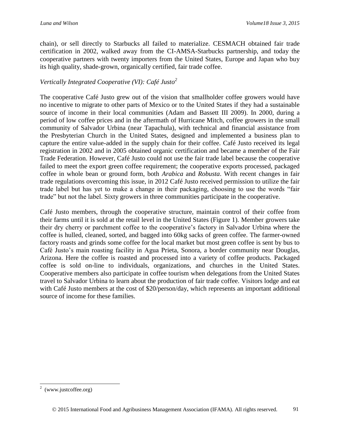chain), or sell directly to Starbucks all failed to materialize. CESMACH obtained fair trade certification in 2002, walked away from the CI-AMSA-Starbucks partnership, and today the cooperative partners with twenty importers from the United States, Europe and Japan who buy its high quality, shade-grown, organically certified, fair trade coffee.

#### *Vertically Integrated Cooperative (VI): Café Justo<sup>2</sup>*

The cooperative Café Justo grew out of the vision that smallholder coffee growers would have no incentive to migrate to other parts of Mexico or to the United States if they had a sustainable source of income in their local communities (Adam and Bassett III 2009). In 2000, during a period of low coffee prices and in the aftermath of Hurricane Mitch, coffee growers in the small community of Salvador Urbina (near Tapachula), with technical and financial assistance from the Presbyterian Church in the United States, designed and implemented a business plan to capture the entire value-added in the supply chain for their coffee. Café Justo received its legal registration in 2002 and in 2005 obtained organic certification and became a member of the Fair Trade Federation. However, Café Justo could not use the fair trade label because the cooperative failed to meet the export green coffee requirement; the cooperative exports processed, packaged coffee in whole bean or ground form, both *Arabica* and *Robusta*. With recent changes in fair trade regulations overcoming this issue, in 2012 Café Justo received permission to utilize the fair trade label but has yet to make a change in their packaging, choosing to use the words "fair trade" but not the label. Sixty growers in three communities participate in the cooperative.

Café Justo members, through the cooperative structure, maintain control of their coffee from their farms until it is sold at the retail level in the United States (Figure 1). Member growers take their dry cherry or parchment coffee to the cooperative's factory in Salvador Urbina where the coffee is hulled, cleaned, sorted, and bagged into 60kg sacks of green coffee. The farmer-owned factory roasts and grinds some coffee for the local market but most green coffee is sent by bus to Café Justo's main roasting facility in Agua Prieta, Sonora, a border community near Douglas, Arizona. Here the coffee is roasted and processed into a variety of coffee products. Packaged coffee is sold on-line to individuals, organizations, and churches in the United States. Cooperative members also participate in coffee tourism when delegations from the United States travel to Salvador Urbina to learn about the production of fair trade coffee. Visitors lodge and eat with Café Justo members at the cost of \$20/person/day, which represents an important additional source of income for these families.

 2 (www.justcoffee.org)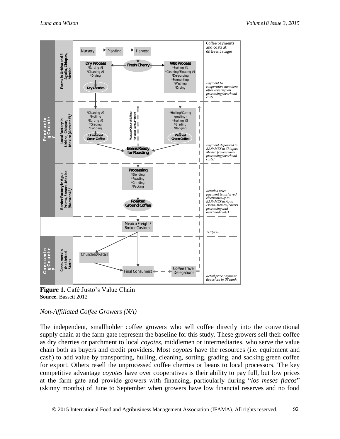

Figure 1. Café Justo's Value Chain **Source.** Bassett 2012

#### *Non-Affiliated Coffee Growers (NA)*

The independent, smallholder coffee growers who sell coffee directly into the conventional supply chain at the farm gate represent the baseline for this study. These growers sell their coffee as dry cherries or parchment to local *coyotes*, middlemen or intermediaries, who serve the value chain both as buyers and credit providers. Most *coyotes* have the resources (i.e. equipment and cash) to add value by transporting, hulling, cleaning, sorting, grading, and sacking green coffee for export. Others resell the unprocessed coffee cherries or beans to local processors. The key competitive advantage *coyotes* have over cooperatives is their ability to pay full, but low prices at the farm gate and provide growers with financing, particularly during "*los meses flacos*" (skinny months) of June to September when growers have low financial reserves and no food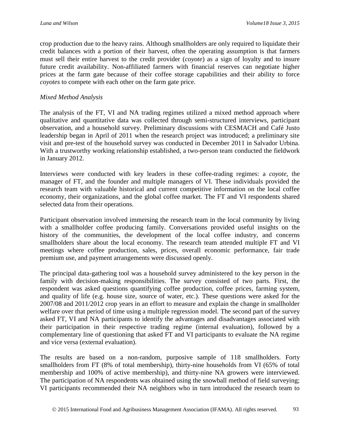crop production due to the heavy rains. Although smallholders are only required to liquidate their credit balances with a portion of their harvest, often the operating assumption is that farmers must sell their entire harvest to the credit provider (*coyote*) as a sign of loyalty and to insure future credit availability. Non-affiliated farmers with financial reserves can negotiate higher prices at the farm gate because of their coffee storage capabilities and their ability to force *coyotes* to compete with each other on the farm gate price.

#### *Mixed Method Analysis*

The analysis of the FT, VI and NA trading regimes utilized a mixed method approach where qualitative and quantitative data was collected through semi-structured interviews, participant observation, and a household survey. Preliminary discussions with CESMACH and Café Justo leadership began in April of 2011 when the research project was introduced; a preliminary site visit and pre-test of the household survey was conducted in December 2011 in Salvador Urbina. With a trustworthy working relationship established, a two-person team conducted the fieldwork in January 2012.

Interviews were conducted with key leaders in these coffee-trading regimes: a *coyote*, the manager of FT, and the founder and multiple managers of VI. These individuals provided the research team with valuable historical and current competitive information on the local coffee economy, their organizations, and the global coffee market. The FT and VI respondents shared selected data from their operations.

Participant observation involved immersing the research team in the local community by living with a smallholder coffee producing family. Conversations provided useful insights on the history of the communities, the development of the local coffee industry, and concerns smallholders share about the local economy. The research team attended multiple FT and VI meetings where coffee production, sales, prices, overall economic performance, fair trade premium use, and payment arrangements were discussed openly.

The principal data-gathering tool was a household survey administered to the key person in the family with decision-making responsibilities. The survey consisted of two parts. First, the respondent was asked questions quantifying coffee production, coffee prices, farming system, and quality of life (e.g. house size, source of water, etc.). These questions were asked for the 2007/08 and 2011/2012 crop years in an effort to measure and explain the change in smallholder welfare over that period of time using a multiple regression model. The second part of the survey asked FT, VI and NA participants to identify the advantages and disadvantages associated with their participation in their respective trading regime (internal evaluation), followed by a complementary line of questioning that asked FT and VI participants to evaluate the NA regime and vice versa (external evaluation).

The results are based on a non-random, purposive sample of 118 smallholders. Forty smallholders from FT (8% of total membership), thirty-nine households from VI (65% of total membership and 100% of active membership), and thirty-nine NA growers were interviewed. The participation of NA respondents was obtained using the snowball method of field surveying; VI participants recommended their NA neighbors who in turn introduced the research team to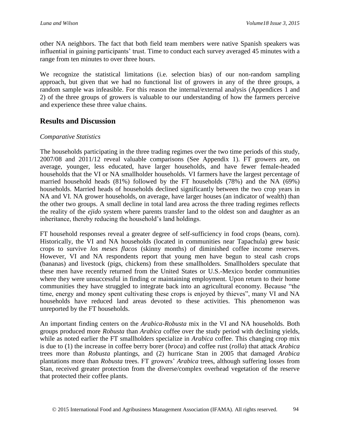other NA neighbors. The fact that both field team members were native Spanish speakers was influential in gaining participants' trust. Time to conduct each survey averaged 45 minutes with a range from ten minutes to over three hours.

We recognize the statistical limitations (i.e. selection bias) of our non-random sampling approach, but given that we had no functional list of growers in any of the three groups, a random sample was infeasible. For this reason the internal/external analysis (Appendices 1 and 2) of the three groups of growers is valuable to our understanding of how the farmers perceive and experience these three value chains.

## **Results and Discussion**

#### *Comparative Statistics*

The households participating in the three trading regimes over the two time periods of this study, 2007/08 and 2011/12 reveal valuable comparisons (See Appendix 1). FT growers are, on average, younger, less educated, have larger households, and have fewer female-headed households that the VI or NA smallholder households. VI farmers have the largest percentage of married household heads (81%) followed by the FT households (78%) and the NA (69%) households. Married heads of households declined significantly between the two crop years in NA and VI. NA grower households, on average, have larger houses (an indicator of wealth) than the other two groups. A small decline in total land area across the three trading regimes reflects the reality of the *ejido* system where parents transfer land to the oldest son and daughter as an inheritance, thereby reducing the household's land holdings.

FT household responses reveal a greater degree of self-sufficiency in food crops (beans, corn). Historically, the VI and NA households (located in communities near Tapachula) grew basic crops to survive *los meses flacos* (skinny months) of diminished coffee income reserves. However, VI and NA respondents report that young men have begun to steal cash crops (bananas) and livestock (pigs, chickens) from these smallholders. Smallholders speculate that these men have recently returned from the United States or U.S.-Mexico border communities where they were unsuccessful in finding or maintaining employment. Upon return to their home communities they have struggled to integrate back into an agricultural economy. Because "the time, energy and money spent cultivating these crops is enjoyed by thieves", many VI and NA households have reduced land areas devoted to these activities. This phenomenon was unreported by the FT households.

An important finding centers on the *Arabica*-*Robusta* mix in the VI and NA households. Both groups produced more *Robusta* than *Arabica* coffee over the study period with declining yields, while as noted earlier the FT smallholders specialize in *Arabica* coffee. This changing crop mix is due to (1) the increase in coffee berry borer (*broca*) and coffee rust (*rolla*) that attack *Arabica* trees more than *Robusta* plantings, and (2) hurricane Stan in 2005 that damaged *Arabica* plantations more than *Robusta* trees. FT growers' *Arabica* trees, although suffering losses from Stan, received greater protection from the diverse/complex overhead vegetation of the reserve that protected their coffee plants.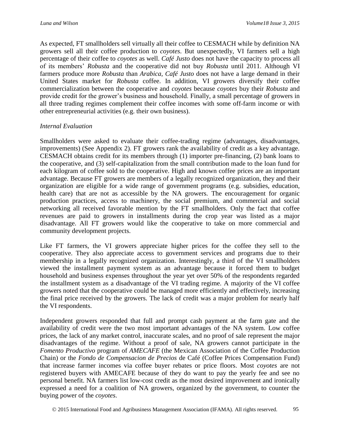As expected, FT smallholders sell virtually all their coffee to CESMACH while by definition NA growers sell all their coffee production to *coyotes*. But unexpectedly, VI farmers sell a high percentage of their coffee to *coyotes* as well. *Café Justo* does not have the capacity to process all of its members' *Robusta* and the cooperative did not buy *Robusta* until 2011. Although VI farmers produce more *Robusta* than *Arabica*, *Café Justo* does not have a large demand in their United States market for *Robusta* coffee. In addition, VI growers diversify their coffee commercialization between the cooperative and *coyotes* because *coyotes* buy their *Robusta* and provide credit for the grower's business and household. Finally, a small percentage of growers in all three trading regimes complement their coffee incomes with some off-farm income or with other entrepreneurial activities (e.g. their own business).

#### *Internal Evaluation*

Smallholders were asked to evaluate their coffee-trading regime (advantages, disadvantages, improvements) (See Appendix 2). FT growers rank the availability of credit as a key advantage. CESMACH obtains credit for its members through (1) importer pre-financing, (2) bank loans to the cooperative, and (3) self-capitalization from the small contribution made to the loan fund for each kilogram of coffee sold to the cooperative. High and known coffee prices are an important advantage. Because FT growers are members of a legally recognized organization, they and their organization are eligible for a wide range of government programs (e.g. subsidies, education, health care) that are not as accessible by the NA growers. The encouragement for organic production practices, access to machinery, the social premium, and commercial and social networking all received favorable mention by the FT smallholders. Only the fact that coffee revenues are paid to growers in installments during the crop year was listed as a major disadvantage. All FT growers would like the cooperative to take on more commercial and community development projects.

Like FT farmers, the VI growers appreciate higher prices for the coffee they sell to the cooperative. They also appreciate access to government services and programs due to their membership in a legally recognized organization. Interestingly, a third of the VI smallholders viewed the installment payment system as an advantage because it forced them to budget household and business expenses throughout the year yet over 50% of the respondents regarded the installment system as a disadvantage of the VI trading regime. A majority of the VI coffee growers noted that the cooperative could be managed more efficiently and effectively, increasing the final price received by the growers. The lack of credit was a major problem for nearly half the VI respondents.

Independent growers responded that full and prompt cash payment at the farm gate and the availability of credit were the two most important advantages of the NA system. Low coffee prices, the lack of any market control, inaccurate scales, and no proof of sale represent the major disadvantages of the regime. Without a proof of sale, NA growers cannot participate in the *Fomento Productivo* program of *AMECAFE* (the Mexican Association of the Coffee Production Chain) or the *Fondo de Compensacion de Precios* de Café (Coffee Prices Compensation Fund) that increase farmer incomes via coffee buyer rebates or price floors. Most *coyotes* are not registered buyers with AMECAFE because of they do want to pay the yearly fee and see no personal benefit. NA farmers list low-cost credit as the most desired improvement and ironically expressed a need for a coalition of NA growers, organized by the government, to counter the buying power of the *coyotes*.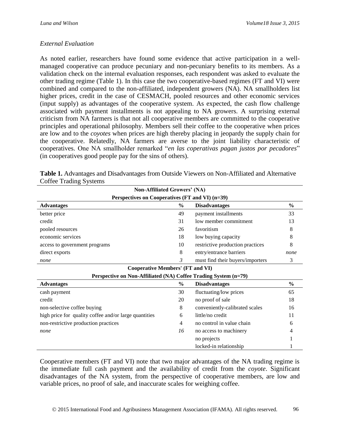#### *External Evaluation*

As noted earlier, researchers have found some evidence that active participation in a wellmanaged cooperative can produce pecuniary and non-pecuniary benefits to its members. As a validation check on the internal evaluation responses, each respondent was asked to evaluate the other trading regime (Table 1). In this case the two cooperative-based regimes (FT and VI) were combined and compared to the non-affiliated, independent growers (NA). NA smallholders list higher prices, credit in the case of CESMACH, pooled resources and other economic services (input supply) as advantages of the cooperative system. As expected, the cash flow challenge associated with payment installments is not appealing to NA growers. A surprising external criticism from NA farmers is that not all cooperative members are committed to the cooperative principles and operational philosophy. Members sell their coffee to the cooperative when prices are low and to the *coyotes* when prices are high thereby placing in jeopardy the supply chain for the cooperative. Relatedly, NA farmers are averse to the joint liability characteristic of cooperatives. One NA smallholder remarked "*en las coperativas pagan justos por pecadores*" (in cooperatives good people pay for the sins of others).

| Non-Affiliated Growers' (NA)                                    |               |                                       |               |  |  |  |  |  |
|-----------------------------------------------------------------|---------------|---------------------------------------|---------------|--|--|--|--|--|
| Perspectives on Cooperatives (FT and VI) (n=39)                 |               |                                       |               |  |  |  |  |  |
| <b>Advantages</b>                                               | $\frac{0}{0}$ | <b>Disadvantages</b>                  | $\frac{6}{6}$ |  |  |  |  |  |
| better price                                                    | 49            | payment installments                  | 33            |  |  |  |  |  |
| credit                                                          | 31            | low member commitment                 | 13            |  |  |  |  |  |
| pooled resources                                                | 26            | favoritism                            | 8             |  |  |  |  |  |
| economic services                                               | 18            | low buying capacity                   | 8             |  |  |  |  |  |
| access to government programs                                   | 10            | restrictive production practices<br>8 |               |  |  |  |  |  |
| direct exports                                                  | 8             | entry/entrance barriers               | none          |  |  |  |  |  |
| none                                                            | 3             | must find their buyers/importers      | 3             |  |  |  |  |  |
| <b>Cooperative Members' (FT and VI)</b>                         |               |                                       |               |  |  |  |  |  |
| Perspective on Non-Affiliated (NA) Coffee Trading System (n=79) |               |                                       |               |  |  |  |  |  |
| $\frac{6}{6}$<br><b>Disadvantages</b><br><b>Advantages</b>      |               |                                       |               |  |  |  |  |  |
| cash payment                                                    | 30            | fluctuating/low prices                | 65            |  |  |  |  |  |
| credit                                                          | 20            | no proof of sale                      | 18            |  |  |  |  |  |
| non-selective coffee buying                                     | 8             | conveniently-calibrated scales        | 16            |  |  |  |  |  |
| high price for quality coffee and/or large quantities           | 6             | little/no credit                      | 11            |  |  |  |  |  |
| non-restrictive production practices                            | 4             | no control in value chain             | 6             |  |  |  |  |  |
| none                                                            | 16            | no access to machinery                |               |  |  |  |  |  |
|                                                                 |               | no projects                           |               |  |  |  |  |  |
|                                                                 |               | locked-in relationship                |               |  |  |  |  |  |

**Table 1.** Advantages and Disadvantages from Outside Viewers on Non-Affiliated and Alternative Coffee Trading Systems

Cooperative members (FT and VI) note that two major advantages of the NA trading regime is the immediate full cash payment and the availability of credit from the *coyote*. Significant disadvantages of the NA system, from the perspective of cooperative members, are low and variable prices, no proof of sale, and inaccurate scales for weighing coffee.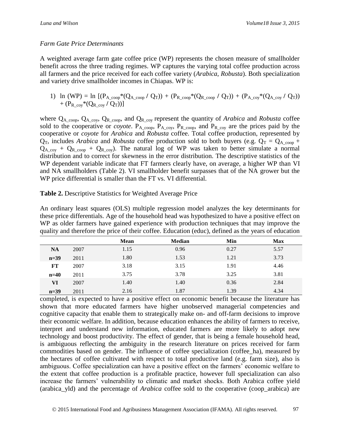#### *Farm Gate Price Determinants*

A weighted average farm gate coffee price (WP) represents the chosen measure of smallholder benefit across the three trading regimes. WP captures the varying total coffee production across all farmers and the price received for each coffee variety (*Arabica*, *Robusta*). Both specialization and variety drive smallholder incomes in Chiapas. WP is:

1) ln (WP) = ln  $[(P_{A\_coop}*(Q_{A\_coop}/Q_T)) + (P_{R\_coop}*(Q_{R\_coop}/Q_T)) + (P_{A\_coy}*(Q_{A\_coy}/Q_T))$ +  $(P_R_{cov}*(Q_R_{cov}/Q_T))]$ 

where  $Q_{A\_{\text{coop}}, Q_{A\_{\text{copy}}, Q_{R\_{\text{coop}}},$  and  $Q_{R\_{\text{copy}}}$  represent the quantity of *Arabica* and *Robusta* coffee sold to the cooperative or *coyote*.  $P_{A_{\text{coup}}}$ ,  $P_{A_{\text{coup}}}$ ,  $P_{R_{\text{coup}}}$ , and  $P_{R_{\text{coup}}}$  are the prices paid by the cooperative or *coyote* for *Arabica* and *Robusta* coffee. Total coffee production, represented by  $Q_T$ , includes *Arabica* and *Robusta* coffee production sold to both buyers (e.g.  $Q_T = Q_A$ <sub>coop</sub> +  $Q_{A_{c}^{c}} + Q_{R_{c}^{c}} + Q_{R_{c}}$  +  $Q_{R_{c}}$  +  $Q_{R_{c}}$  +  $Q_{R_{c}}$  +  $Q_{R_{c}}$  +  $Q_{R_{c}}$  +  $Q_{R_{c}}$  +  $Q_{R_{c}}$  +  $Q_{R_{c}}$  +  $Q_{R_{c}}$  +  $Q_{R_{c}}$  +  $Q_{R_{c}}$  +  $Q_{R_{c}}$  +  $Q_{R_{c}}$  +  $Q_{R_{c}}$  +  $Q_{R_{c}}$  +  $Q_{R_{c}}$  +  $Q_{R_{c}}$  +  $Q_{$ distribution and to correct for skewness in the error distribution. The descriptive statistics of the WP dependent variable indicate that FT farmers clearly have, on average, a higher WP than VI and NA smallholders (Table 2). VI smallholder benefit surpasses that of the NA grower but the WP price differential is smaller than the FT vs. VI differential.

| Table 2. Descriptive Statistics for Weighted Average Price |  |
|------------------------------------------------------------|--|
|------------------------------------------------------------|--|

An ordinary least squares (OLS) multiple regression model analyzes the key determinants for these price differentials. Age of the household head was hypothesized to have a positive effect on WP as older farmers have gained experience with production techniques that may improve the quality and therefore the price of their coffee. Education (educ), defined as the years of education

|           |      | <b>Mean</b> | <b>Median</b> | Min  | <b>Max</b> |
|-----------|------|-------------|---------------|------|------------|
| <b>NA</b> | 2007 | 1.15        | 0.96          | 0.27 | 5.57       |
| $n=39$    | 2011 | 1.80        | 1.53          | 1.21 | 3.73       |
| FT        | 2007 | 3.18        | 3.15          | 1.91 | 4.46       |
| $n=40$    | 2011 | 3.75        | 3.78          | 3.25 | 3.81       |
| VI        | 2007 | 1.40        | 1.40          | 0.36 | 2.84       |
| $n=39$    | 2011 | 2.16        | 1.87          | 1.39 | 4.34       |

completed, is expected to have a positive effect on economic benefit because the literature has shown that more educated farmers have higher unobserved managerial competencies and cognitive capacity that enable them to strategically make on- and off-farm decisions to improve their economic welfare. In addition, because education enhances the ability of farmers to receive, interpret and understand new information, educated farmers are more likely to adopt new technology and boost productivity. The effect of gender, that is being a female household head, is ambiguous reflecting the ambiguity in the research literature on prices received for farm commodities based on gender. The influence of coffee specialization (coffee\_ha), measured by the hectares of coffee cultivated with respect to total productive land (e.g. farm size), also is ambiguous. Coffee specialization can have a positive effect on the farmers' economic welfare to the extent that coffee production is a profitable practice, however full specialization can also increase the farmers' vulnerability to climatic and market shocks. Both Arabica coffee yield (arabica\_yld) and the percentage of *Arabica* coffee sold to the cooperative (coop\_arabica) are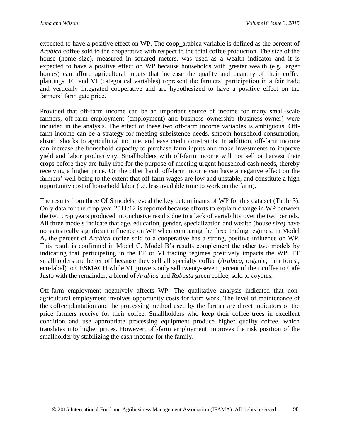expected to have a positive effect on WP. The coop\_arabica variable is defined as the percent of *Arabica* coffee sold to the cooperative with respect to the total coffee production. The size of the house (home size), measured in squared meters, was used as a wealth indicator and it is expected to have a positive effect on WP because households with greater wealth (e.g. larger homes) can afford agricultural inputs that increase the quality and quantity of their coffee plantings. FT and VI (categorical variables) represent the farmers' participation in a fair trade and vertically integrated cooperative and are hypothesized to have a positive effect on the farmers' farm gate price.

Provided that off-farm income can be an important source of income for many small-scale farmers, off-farm employment (employment) and business ownership (business-owner) were included in the analysis. The effect of these two off-farm income variables is ambiguous. Offfarm income can be a strategy for meeting subsistence needs, smooth household consumption, absorb shocks to agricultural income, and ease credit constraints. In addition, off-farm income can increase the household capacity to purchase farm inputs and make investments to improve yield and labor productivity. Smallholders with off-farm income will not sell or harvest their crops before they are fully ripe for the purpose of meeting urgent household cash needs, thereby receiving a higher price. On the other hand, off-farm income can have a negative effect on the farmers' well-being to the extent that off-farm wages are low and unstable, and constitute a high opportunity cost of household labor (i.e. less available time to work on the farm).

The results from three OLS models reveal the key determinants of WP for this data set (Table 3). Only data for the crop year 2011/12 is reported because efforts to explain change in WP between the two crop years produced inconclusive results due to a lack of variability over the two periods. All three models indicate that age, education, gender, specialization and wealth (house size) have no statistically significant influence on WP when comparing the three trading regimes. In Model A, the percent of *Arabica* coffee sold to a cooperative has a strong, positive influence on WP. This result is confirmed in Model C. Model B's results complement the other two models by indicating that participating in the FT or VI trading regimes positively impacts the WP. FT smallholders are better off because they sell all specialty coffee (*Arabica*, organic, rain forest, eco-label) to CESMACH while VI growers only sell twenty-seven percent of their coffee to Café Justo with the remainder, a blend of *Arabica* and *Robusta* green coffee, sold to *coyotes*.

Off-farm employment negatively affects WP. The qualitative analysis indicated that nonagricultural employment involves opportunity costs for farm work. The level of maintenance of the coffee plantation and the processing method used by the farmer are direct indicators of the price farmers receive for their coffee. Smallholders who keep their coffee trees in excellent condition and use appropriate processing equipment produce higher quality coffee, which translates into higher prices. However, off-farm employment improves the risk position of the smallholder by stabilizing the cash income for the family.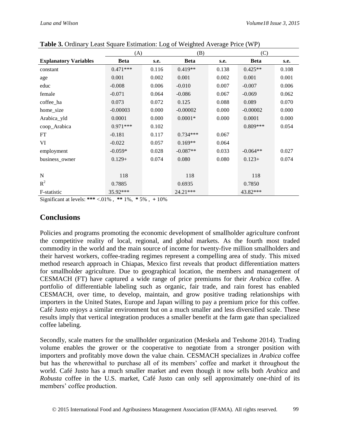|                              | (A)         |       | (B)         |       | (C)         |       |
|------------------------------|-------------|-------|-------------|-------|-------------|-------|
| <b>Explanatory Variables</b> | <b>Beta</b> | s.e.  | <b>Beta</b> | s.e.  | <b>Beta</b> | s.e.  |
| constant                     | $0.471***$  | 0.116 | $0.419**$   | 0.138 | $0.425**$   | 0.108 |
| age                          | 0.001       | 0.002 | 0.001       | 0.002 | 0.001       | 0.001 |
| educ                         | $-0.008$    | 0.006 | $-0.010$    | 0.007 | $-0.007$    | 0.006 |
| female                       | $-0.071$    | 0.064 | $-0.086$    | 0.067 | $-0.069$    | 0.062 |
| coffee_ha                    | 0.073       | 0.072 | 0.125       | 0.088 | 0.089       | 0.070 |
| home_size                    | $-0.00003$  | 0.000 | $-0.00002$  | 0.000 | $-0.00002$  | 0.000 |
| Arabica_yld                  | 0.0001      | 0.000 | $0.0001*$   | 0.000 | 0.0001      | 0.000 |
| coop_Arabica                 | $0.971***$  | 0.102 |             |       | $0.809***$  | 0.054 |
| FT                           | $-0.181$    | 0.117 | $0.734***$  | 0.067 |             |       |
| VI                           | $-0.022$    | 0.057 | $0.169**$   | 0.064 |             |       |
| employment                   | $-0.059*$   | 0.028 | $-0.087**$  | 0.033 | $-0.064**$  | 0.027 |
| business_owner               | $0.129+$    | 0.074 | 0.080       | 0.080 | $0.123+$    | 0.074 |
|                              |             |       |             |       |             |       |
| $\mathbf N$                  | 118         |       | 118         |       | 118         |       |
| $R^2$                        | 0.7885      |       | 0.6935      |       | 0.7850      |       |
| F-statistic                  | 35.92***    |       | 24.21***    |       | 43.82***    |       |

**Table 3.** Ordinary Least Square Estimation: Log of Weighted Average Price (WP)

Significant at levels: **\*\*\*** <.01% , **\*\*** 1%, **\*** 5% , **+** 10%

## **Conclusions**

Policies and programs promoting the economic development of smallholder agriculture confront the competitive reality of local, regional, and global markets. As the fourth most traded commodity in the world and the main source of income for twenty-five million smallholders and their harvest workers, coffee-trading regimes represent a compelling area of study. This mixed method research approach in Chiapas, Mexico first reveals that product differentiation matters for smallholder agriculture. Due to geographical location, the members and management of CESMACH (FT) have captured a wide range of price premiums for their *Arabica* coffee. A portfolio of differentiable labeling such as organic, fair trade, and rain forest has enabled CESMACH, over time, to develop, maintain, and grow positive trading relationships with importers in the United States, Europe and Japan willing to pay a premium price for this coffee. Café Justo enjoys a similar environment but on a much smaller and less diversified scale. These results imply that vertical integration produces a smaller benefit at the farm gate than specialized coffee labeling.

Secondly, scale matters for the smallholder organization (Meskela and Teshome 2014). Trading volume enables the grower or the cooperative to negotiate from a stronger position with importers and profitably move down the value chain. CESMACH specializes in *Arabica* coffee but has the wherewithal to purchase all of its members' coffee and market it throughout the world. Café Justo has a much smaller market and even though it now sells both *Arabica* and *Robusta* coffee in the U.S. market, Café Justo can only sell approximately one-third of its members' coffee production.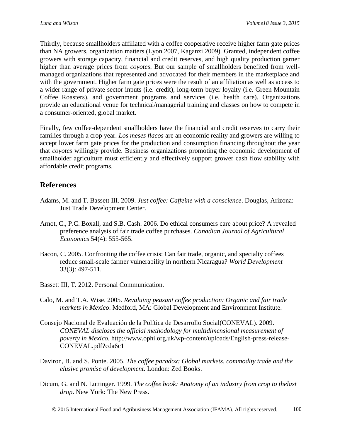Thirdly, because smallholders affiliated with a coffee cooperative receive higher farm gate prices than NA growers, organization matters (Lyon 2007, Kaganzi 2009). Granted, independent coffee growers with storage capacity, financial and credit reserves, and high quality production garner higher than average prices from *coyotes*. But our sample of smallholders benefited from wellmanaged organizations that represented and advocated for their members in the marketplace and with the government. Higher farm gate prices were the result of an affiliation as well as access to a wider range of private sector inputs (i.e. credit), long-term buyer loyalty (i.e. Green Mountain Coffee Roasters), and government programs and services (i.e. health care). Organizations provide an educational venue for technical/managerial training and classes on how to compete in a consumer-oriented, global market.

Finally, few coffee-dependent smallholders have the financial and credit reserves to carry their families through a crop year. *Los meses flacos* are an economic reality and growers are willing to accept lower farm gate prices for the production and consumption financing throughout the year that *coyotes* willingly provide. Business organizations promoting the economic development of smallholder agriculture must efficiently and effectively support grower cash flow stability with affordable credit programs.

### **References**

- Adams, M. and T. Bassett III. 2009. *Just coffee: Caffeine with a conscience*. Douglas, Arizona: Just Trade Development Center.
- Arnot, C., P.C. Boxall, and S.B. Cash. 2006. Do ethical consumers care about price? A revealed preference analysis of fair trade coffee purchases. *Canadian Journal of Agricultural Economics* 54(4): 555-565.
- Bacon, C. 2005. Confronting the coffee crisis: Can fair trade, organic, and specialty coffees reduce small-scale farmer vulnerability in northern Nicaragua? *World Development* 33(3): 497-511.
- Bassett III, T. 2012. Personal Communication.
- Calo, M. and T.A. Wise. 2005. *Revaluing peasant coffee production: Organic and fair trade markets in Mexico*. Medford, MA: Global Development and Environment Institute.
- Consejo Nacional de Evaluación de la Política de Desarrollo Social(CONEVAL). 2009. *CONEVAL discloses the official methodology for multidimensional measurement of poverty in Mexico*. http://www.ophi.org.uk/wp-content/uploads/English-press-release-CONEVAL.pdf?cda6c1
- Daviron, B. and S. Ponte. 2005. *The coffee paradox: Global markets, commodity trade and the elusive promise of development*. London: Zed Books.
- Dicum, G. and N. Luttinger. 1999. *The coffee book: Anatomy of an industry from crop to thelast drop*. New York: The New Press.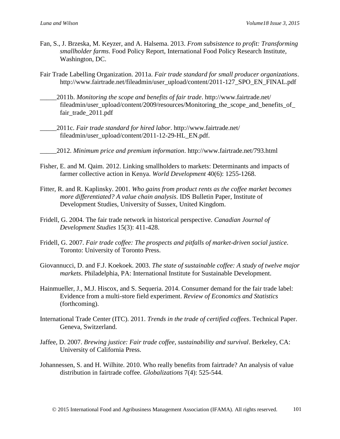- Fan, S., J. Brzeska, M. Keyzer, and A. Halsema. 2013. *From subsistence to profit: Transforming smallholder farms*. Food Policy Report, International Food Policy Research Institute, Washington, DC.
- Fair Trade Labelling Organization. 2011a. *Fair trade standard for small producer organizations*. http://www.fairtrade.net/fileadmin/user\_upload/content/2011-127\_SPO\_EN\_FINAL.pdf
- \_\_\_\_\_2011b. *Monitoring the scope and benefits of fair trade*. http://www.fairtrade.net/ fileadmin/user\_upload/content/2009/resources/Monitoring\_the\_scope\_and\_benefits\_of\_ fair\_trade\_2011.pdf
- \_\_\_\_\_2011c. *Fair trade standard for hired labor*. http://www.fairtrade.net/ fileadmin/user\_upload/content/2011-12-29-HL\_EN.pdf.
- \_\_\_\_\_2012. *Minimum price and premium information*. http://www.fairtrade.net/793.html
- Fisher, E. and M. Qaim. 2012. Linking smallholders to markets: Determinants and impacts of farmer collective action in Kenya. *World Development* 40(6): 1255-1268.
- Fitter, R. and R. Kaplinsky. 2001. *Who gains from product rents as the coffee market becomes more differentiated? A value chain analysis*. IDS Bulletin Paper, Institute of Development Studies, University of Sussex, United Kingdom.
- Fridell, G. 2004. The fair trade network in historical perspective. *Canadian Journal of Development Studies* 15(3): 411-428.
- Fridell, G. 2007. *Fair trade coffee: The prospects and pitfalls of market-driven social justice*. Toronto: University of Toronto Press.
- Giovannucci, D. and F.J. Koekoek. 2003. *The state of sustainable coffee: A study of twelve major markets*. Philadelphia, PA: International Institute for Sustainable Development.
- Hainmueller, J., M.J. Hiscox, and S. Sequeria. 2014. Consumer demand for the fair trade label: Evidence from a multi-store field experiment. *Review of Economics and Statistics* (forthcoming).
- International Trade Center (ITC). 2011. *Trends in the trade of certified coffees*. Technical Paper. Geneva, Switzerland.
- Jaffee, D. 2007. *Brewing justice: Fair trade coffee, sustainability and survival*. Berkeley, CA: University of California Press.
- Johannessen, S. and H. Wilhite. 2010. Who really benefits from fairtrade? An analysis of value distribution in fairtrade coffee. *Globalizations* 7(4): 525-544.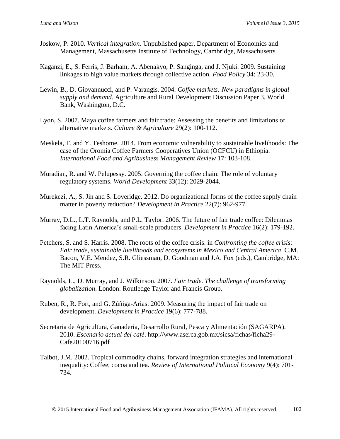- Joskow, P. 2010. *Vertical integration*. Unpublished paper, Department of Economics and Management, Massachusetts Institute of Technology, Cambridge, Massachusetts.
- Kaganzi, E., S. Ferris, J. Barham, A. Abenakyo, P. Sanginga, and J. Njuki. 2009. Sustaining linkages to high value markets through collective action. *Food Policy* 34: 23-30.
- Lewin, B., D. Giovannucci, and P. Varangis. 2004. *Coffee markets: New paradigms in global supply and demand*. Agriculture and Rural Development Discussion Paper 3, World Bank, Washington, D.C.
- Lyon, S. 2007. Maya coffee farmers and fair trade: Assessing the benefits and limitations of alternative markets. *Culture & Agriculture* 29(2): 100-112.
- Meskela, T. and Y. Teshome. 2014. From economic vulnerability to sustainable livelihoods: The case of the Oromia Coffee Farmers Cooperatives Union (OCFCU) in Ethiopia. *International Food and Agribusiness Management Review* 17: 103-108.
- Muradian, R. and W. Pelupessy. 2005. Governing the coffee chain: The role of voluntary regulatory systems. *World Development* 33(12): 2029-2044.
- Murekezi, A., S. Jin and S. Loveridge. 2012. Do organizational forms of the coffee supply chain matter in poverty reduction? *Development in Practice* 22(7): 962-977.
- Murray, D.L., L.T. Raynolds, and P.L. Taylor. 2006. The future of fair trade coffee: Dilemmas facing Latin America's small-scale producers. *Development in Practice* 16(2): 179-192.
- Petchers, S. and S. Harris. 2008. The roots of the coffee crisis. in *Confronting the coffee crisis: Fair trade, sustainable livelihoods and ecosystems in Mexico and Central America*. C.M. Bacon, V.E. Mendez, S.R. Gliessman, D. Goodman and J.A. Fox (eds.), Cambridge, MA: The MIT Press.
- Raynolds, L., D. Murray, and J. Wilkinson. 2007. *Fair trade. The challenge of transforming globalization*. London: Routledge Taylor and Francis Group.
- Ruben, R., R. Fort, and G. Zúñiga-Arias. 2009. Measuring the impact of fair trade on development. *Development in Practice* 19(6): 777-788.
- Secretaria de Agricultura, Ganaderia, Desarrollo Rural, Pesca y Alimentación (SAGARPA). 2010. *Escenario actual del café*. http://www.aserca.gob.mx/sicsa/fichas/ficha29- Cafe20100716.pdf
- Talbot, J.M. 2002. Tropical commodity chains, forward integration strategies and international inequality: Coffee, cocoa and tea. *Review of International Political Economy* 9(4): 701- 734.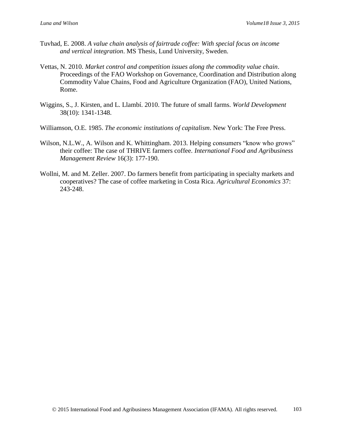- Tuvhad, E. 2008. *A value chain analysis of fairtrade coffee: With special focus on income and vertical integration*. MS Thesis, Lund University, Sweden.
- Vettas, N. 2010. *Market control and competition issues along the commodity value chain*. Proceedings of the FAO Workshop on Governance, Coordination and Distribution along Commodity Value Chains, Food and Agriculture Organization (FAO), United Nations, Rome.
- Wiggins, S., J. Kirsten, and L. Llambí. 2010. The future of small farms. *World Development* 38(10): 1341-1348.
- Williamson, O.E. 1985. *The economic institutions of capitalism*. New York: The Free Press.
- Wilson, N.L.W., A. Wilson and K. Whittingham. 2013. Helping consumers "know who grows" their coffee: The case of THRIVE farmers coffee. *International Food and Agribusiness Management Review* 16(3): 177-190.
- Wollni, M. and M. Zeller. 2007. Do farmers benefit from participating in specialty markets and cooperatives? The case of coffee marketing in Costa Rica. *Agricultural Economics* 37: 243-248.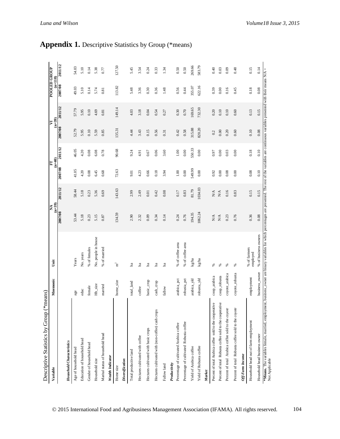| $(*means)$<br>Descriptive Statistics by Group                                                                                                                                                                                     |                |                          |                            |         |         |          |               |                |                                  |         |
|-----------------------------------------------------------------------------------------------------------------------------------------------------------------------------------------------------------------------------------|----------------|--------------------------|----------------------------|---------|---------|----------|---------------|----------------|----------------------------------|---------|
| Variable                                                                                                                                                                                                                          | Mnemonic       | j                        | $(n=39)$<br>ΧA <sub></sub> |         | E       | $(m=40)$ | $(n=39)$<br>⋝ |                | <b>POOLED GROUP</b><br>$(m=118)$ |         |
|                                                                                                                                                                                                                                   |                |                          | 2007/08                    | 2011/12 | 2007/08 | 2011/12  | 2007/08       | <b>2011/12</b> | 2007/08                          | 2011/12 |
| <b>Household Characteristics</b>                                                                                                                                                                                                  |                |                          |                            |         |         |          |               |                |                                  |         |
| Age of household head                                                                                                                                                                                                             | age            | Years                    | 53.44                      | 58.44   | 41.05   | 46.05    | 52.79         | 57.79          | 49.03                            | 54.03   |
| Education of household head                                                                                                                                                                                                       | educ           | No. years                | 5.18                       | 5.18    | 4.20    | 4.20     | 5.95          | 5.95           | 5.10                             | 5.10    |
| Gender of household head                                                                                                                                                                                                          | female         | % of females             | 0.23                       | 0.23    | 0.08    | 0.08     | 0.10          | 0.10           | 0.14                             | 0.14    |
| Household size                                                                                                                                                                                                                    | $Hh\_size$     | No. people in house      | 5.15                       | 5.36    | 6.45    | 6.08     | 5.59          | 4.69           | 5.74                             | 5.38    |
| Marital status of household head                                                                                                                                                                                                  | married        | % of married             | 0.87                       | 0.69    | 0.68    | 0.78     | 0.85          | 0.81           | 0.81                             | 0.77    |
| Wealth Indicator                                                                                                                                                                                                                  |                |                          |                            |         |         |          |               |                |                                  |         |
| Home size                                                                                                                                                                                                                         | home_size      | $\mathbb{H}^2$           | 134.59                     | 143.63  | 72.63   | 90.68    | 135.31        | 149.14         | 113.82                           | 127.50  |
| Diversification                                                                                                                                                                                                                   |                |                          |                            |         |         |          |               |                |                                  |         |
| Total productive land                                                                                                                                                                                                             | total_land     | h <sub>a</sub>           | 2.90                       | 2.99    | 9.01    | 9.24     | 4.44          | 4.03           | 5.48                             | 5.45    |
| Hectares cultivated with coffee                                                                                                                                                                                                   | coffee         | <b>h</b> a               | 2.32                       | 2.49    | 4.23    | 4.91     | 3.43          | 3.18           | 3.36                             | 3.54    |
| Hectares cultivated with basic crops                                                                                                                                                                                              | basic_crop     | <b>h</b> a               | 0.09                       | 0.01    | 0.66    | 0.67     | 0.15          | 0.04           | 0.30                             | 0.24    |
| Hectares cultivated with (non-coffee) cash crops                                                                                                                                                                                  | cash_crop      | <b>h</b> a               | 0.34                       | 0.42    | 0.18    | 0.06     | 0.56          | 0.54           | 0.36                             | 0.33    |
| Fallow land                                                                                                                                                                                                                       | fallow         | $\rm{a}$                 | 0.14                       | 0.08    | 3.94    | 3.60     | 0.31          | 0.27           | 1.48                             | 1.34    |
| Productivity                                                                                                                                                                                                                      |                |                          |                            |         |         |          |               |                |                                  |         |
| Percentage of cultivated Arabica coffee                                                                                                                                                                                           | arabica_pct    | % of coffee area         | 0.24                       | 0.17    | 1.00    | 1.00     | 0.42          | 0.30           | 0.56                             | 0.50    |
| Percentage of cultivated Robusta coffee                                                                                                                                                                                           | robusta_pct    | % of coffee area         | 0.76                       | 0.83    | 0.00    | 0.00     | 0.58          | 0.70           | 0.44                             | 0.50    |
| Yield of Arabica coffee                                                                                                                                                                                                           | arabica_yld    | kg/ha                    | 194.35                     | 81.79   | 549.99  | 550.33   | 315.88        | 169.65         | 355.07                           | 269.66  |
| Yield of Robusta coffee                                                                                                                                                                                                           | robusta_yld    | kg/ha                    | 1062.24                    | 1034.03 | 0.00    | 0.00     | 820.20        | 732.30         | 622.16                           | 583.79  |
| Market                                                                                                                                                                                                                            |                |                          |                            |         |         |          |               |                |                                  |         |
| Percent of total Arabica coffee sold to the cooperative                                                                                                                                                                           | coop_arabica   | ℅                        | N/A                        | N/A     | 0.92    | 0.97     | 0.2           | 0.20           | 0.39                             | 0.40    |
| Percent of total Robusta coffee sold to the cooperative                                                                                                                                                                           | coop_robusta   | S,                       | $\mathbf{N} \mathbf{A}$    | N/A     | 0.00    | 0.00     | 0.00          | 0.10           | 0.00                             | 0.03    |
| Percent of total Arabica coffee sold to the coyote                                                                                                                                                                                | coyote_arabica | ℅                        | 0.23                       | 0.16    | 0.08    | 0.03     | 0.20          | 0.10           | 0.16                             | 0.09    |
| Percent of total Robusta coffee sold to the coyote                                                                                                                                                                                | coyote_robusta | S,                       | 0.76                       | 0.83    | 0.00    | 0.00     | 0.60          | 0.60           | 0.45                             | 0.48    |
| Off-Farm Income                                                                                                                                                                                                                   |                |                          |                            |         |         |          |               |                |                                  |         |
| Household head out of farm employment                                                                                                                                                                                             | employment     | % of farmers<br>employed | 0.36                       | 0.15    | 0.08    | 0.18     | 0.10          | 0.13           | 0.18                             | 0.15    |
| Household head business owner                                                                                                                                                                                                     | business_owner | % of business owners     | 0.08                       | 0.15    | 0.10    | 0.10     | 0.08          | 0.15           | 0.08                             | 0.14    |
| *Means. The variables female, married, employment, business_owner are binary variables for which percentages are presented. The rest of the variables are continuous variables presented with their means N/A =<br>Not Applicable |                |                          |                            |         |         |          |               |                |                                  |         |

# **Appendix 1.** Descriptive Statistics by Group (\*means)